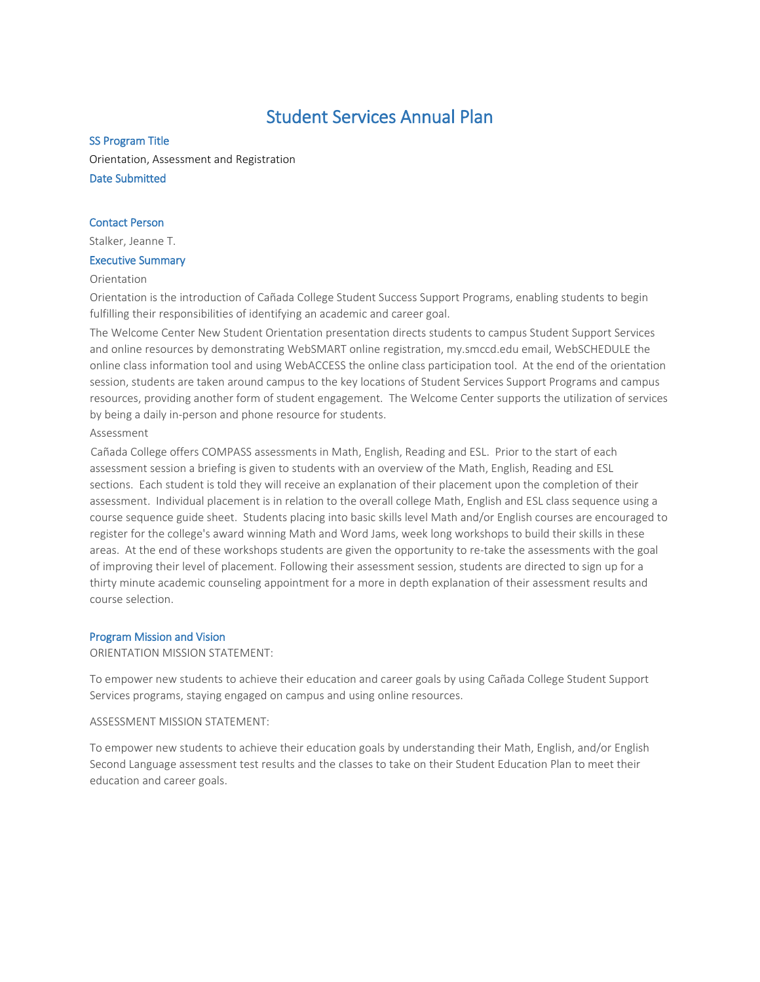# Student Services Annual Plan

## SS Program Title

Orientation, Assessment and Registration Date Submitted

## Contact Person

Stalker, Jeanne T.

## Executive Summary

## Orientation

Orientation is the introduction of Cañada College Student Success Support Programs, enabling students to begin fulfilling their responsibilities of identifying an academic and career goal.

The Welcome Center New Student Orientation presentation directs students to campus Student Support Services and online resources by demonstrating WebSMART online registration, my.smccd.edu email, WebSCHEDULE the online class information tool and using WebACCESS the online class participation tool. At the end of the orientation session, students are taken around campus to the key locations of Student Services Support Programs and campus resources, providing another form of student engagement. The Welcome Center supports the utilization of services by being a daily in-person and phone resource for students.

## Assessment

Cañada College offers COMPASS assessments in Math, English, Reading and ESL. Prior to the start of each assessment session a briefing is given to students with an overview of the Math, English, Reading and ESL sections. Each student is told they will receive an explanation of their placement upon the completion of their assessment. Individual placement is in relation to the overall college Math, English and ESL class sequence using a course sequence guide sheet. Students placing into basic skills level Math and/or English courses are encouraged to register for the college's award winning Math and Word Jams, week long workshops to build their skills in these areas. At the end of these workshops students are given the opportunity to re-take the assessments with the goal of improving their level of placement. Following their assessment session, students are directed to sign up for a thirty minute academic counseling appointment for a more in depth explanation of their assessment results and course selection.

## Program Mission and Vision

ORIENTATION MISSION STATEMENT:

To empower new students to achieve their education and career goals by using Cañada College Student Support Services programs, staying engaged on campus and using online resources.

## ASSESSMENT MISSION STATEMENT:

To empower new students to achieve their education goals by understanding their Math, English, and/or English Second Language assessment test results and the classes to take on their Student Education Plan to meet their education and career goals.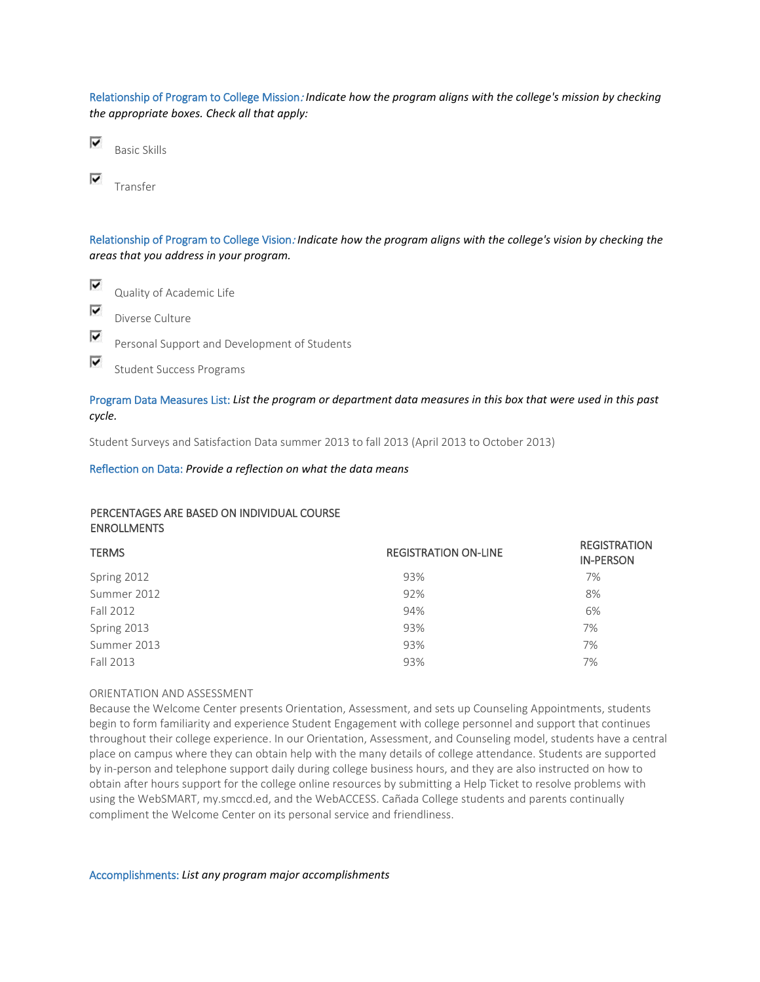Relationship of Program to College Mission: *Indicate how the program aligns with the college's mission by checking the appropriate boxes. Check all that apply:*

⊽ Basic Skills

⊽ Transfer

⊽

Relationship of Program to College Vision: *Indicate how the program aligns with the college's vision by checking the areas that you address in your program.*

⊽ Quality of Academic Life ⊽ Diverse Culture ⊽

Personal Support and Development of Students

Student Success Programs

# Program Data Measures List: *List the program or department data measures in this box that were used in this past cycle.*

Student Surveys and Satisfaction Data summer 2013 to fall 2013 (April 2013 to October 2013)

Reflection on Data: *Provide a reflection on what the data means*

# PERCENTAGES ARE BASED ON INDIVIDUAL COURSE ENROLLMENTS

| <b>REGISTRATION ON-LINE</b> | <b>REGISTRATION</b><br><b>IN-PERSON</b> |
|-----------------------------|-----------------------------------------|
| 93%                         | 7%                                      |
| 92%                         | 8%                                      |
| 94%                         | 6%                                      |
| 93%                         | 7%                                      |
| 93%                         | 7%                                      |
| 93%                         | 7%                                      |
|                             |                                         |

## ORIENTATION AND ASSESSMENT

Because the Welcome Center presents Orientation, Assessment, and sets up Counseling Appointments, students begin to form familiarity and experience Student Engagement with college personnel and support that continues throughout their college experience. In our Orientation, Assessment, and Counseling model, students have a central place on campus where they can obtain help with the many details of college attendance. Students are supported by in-person and telephone support daily during college business hours, and they are also instructed on how to obtain after hours support for the college online resources by submitting a Help Ticket to resolve problems with using the WebSMART, my.smccd.ed, and the WebACCESS. Cañada College students and parents continually compliment the Welcome Center on its personal service and friendliness.

Accomplishments: *List any program major accomplishments*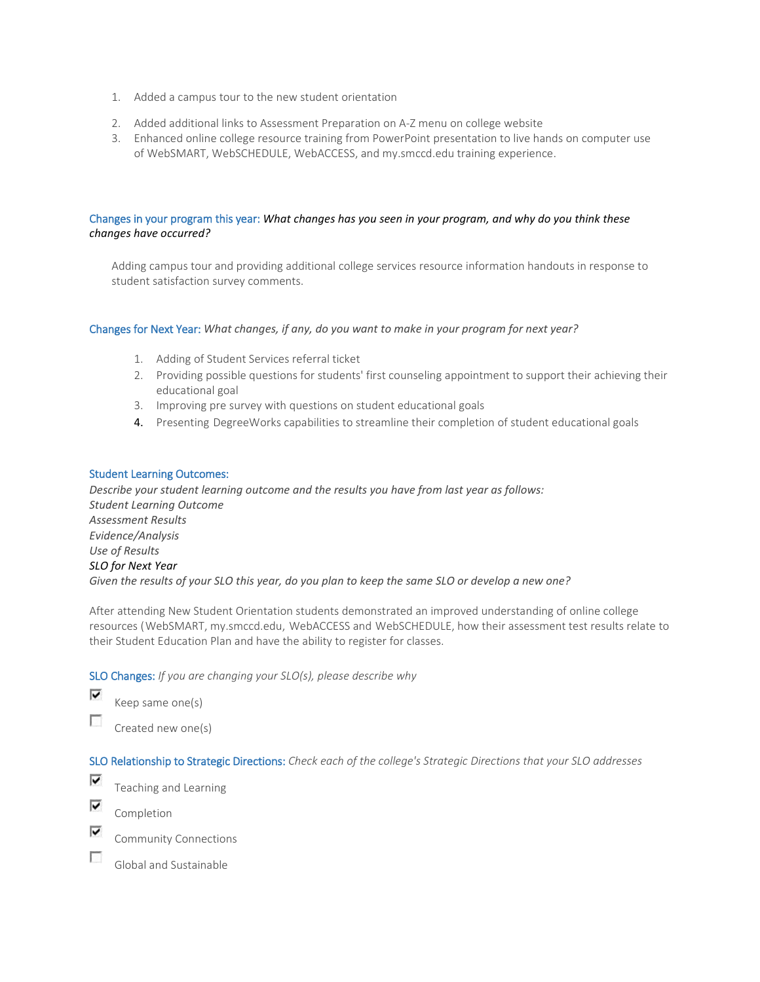- 1. Added a campus tour to the new student orientation
- 2. Added additional links to Assessment Preparation on A-Z menu on college website
- 3. Enhanced online college resource training from PowerPoint presentation to live hands on computer use of WebSMART, WebSCHEDULE, WebACCESS, and my.smccd.edu training experience.

## Changes in your program this year: *What changes has you seen in your program, and why do you think these changes have occurred?*

Adding campus tour and providing additional college services resource information handouts in response to student satisfaction survey comments.

## Changes for Next Year: *What changes, if any, do you want to make in your program for next year?*

- 1. Adding of Student Services referral ticket
- 2. Providing possible questions for students' first counseling appointment to support their achieving their educational goal
- 3. Improving pre survey with questions on student educational goals
- 4. Presenting DegreeWorks capabilities to streamline their completion of student educational goals

## Student Learning Outcomes:

*Describe your student learning outcome and the results you have from last year as follows: Student Learning Outcome Assessment Results Evidence/Analysis Use of Results SLO for Next Year Given the results of your SLO this year, do you plan to keep the same SLO or develop a new one?*

After attending New Student Orientation students demonstrated an improved understanding of online college resources (WebSMART, my.smccd.edu, WebACCESS and WebSCHEDULE, how their assessment test results relate to their Student Education Plan and have the ability to register for classes.

SLO Changes: *If you are changing your SLO(s), please describe why*

⊽ Keep same one(s)

П Created new one(s)

SLO Relationship to Strategic Directions: *Check each of the college's Strategic Directions that your SLO addresses*

⊽ Teaching and Learning

⊽ Completion

⊽ Community Connections

n. Global and Sustainable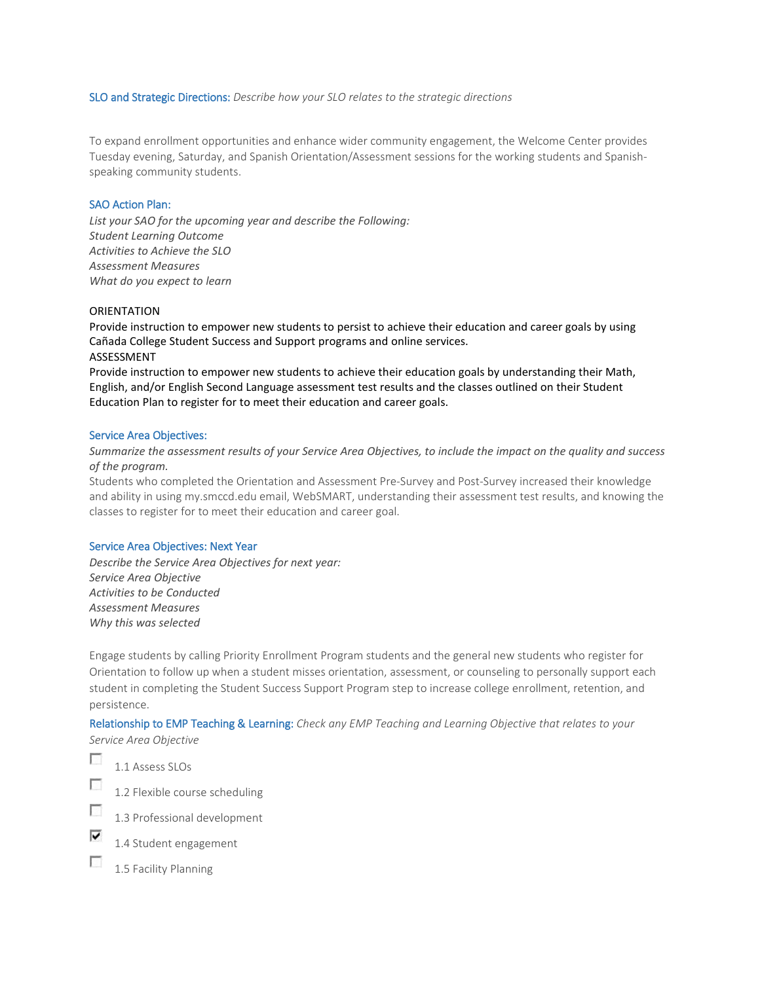#### SLO and Strategic Directions: *Describe how your SLO relates to the strategic directions*

To expand enrollment opportunities and enhance wider community engagement, the Welcome Center provides Tuesday evening, Saturday, and Spanish Orientation/Assessment sessions for the working students and Spanishspeaking community students.

## SAO Action Plan:

*List your SAO for the upcoming year and describe the Following: Student Learning Outcome Activities to Achieve the SLO Assessment Measures What do you expect to learn*

#### **ORIENTATION**

Provide instruction to empower new students to persist to achieve their education and career goals by using Cañada College Student Success and Support programs and online services. ASSESSMENT

Provide instruction to empower new students to achieve their education goals by understanding their Math, English, and/or English Second Language assessment test results and the classes outlined on their Student Education Plan to register for to meet their education and career goals.

#### Service Area Objectives:

## *Summarize the assessment results of your Service Area Objectives, to include the impact on the quality and success of the program.*

Students who completed the Orientation and Assessment Pre-Survey and Post-Survey increased their knowledge and ability in using my.smccd.edu email, WebSMART, understanding their assessment test results, and knowing the classes to register for to meet their education and career goal.

#### Service Area Objectives: Next Year

*Describe the Service Area Objectives for next year: Service Area Objective Activities to be Conducted Assessment Measures Why this was selected*

Engage students by calling Priority Enrollment Program students and the general new students who register for Orientation to follow up when a student misses orientation, assessment, or counseling to personally support each student in completing the Student Success Support Program step to increase college enrollment, retention, and persistence.

## Relationship to EMP Teaching & Learning: *Check any EMP Teaching and Learning Objective that relates to your Service Area Objective*

Ð

1.1 Assess SLOs  $\overline{\phantom{a}}$ 

1.2 Flexible course scheduling



⊽ 1.4 Student engagement

г 1.5 Facility Planning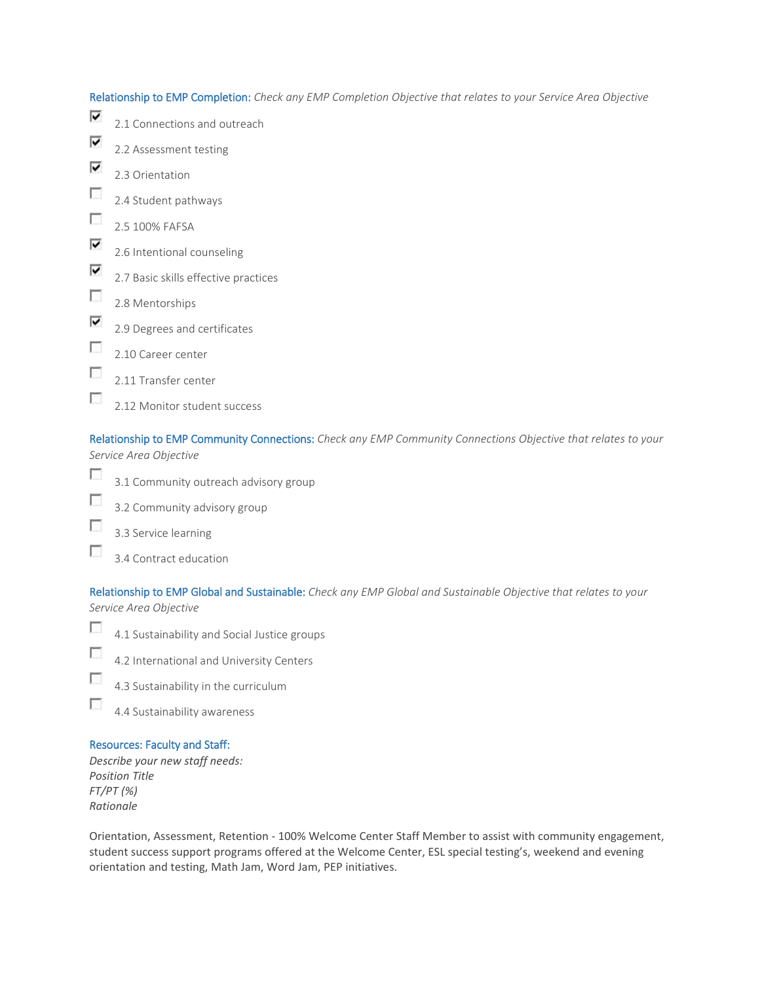Relationship to EMP Completion: *Check any EMP Completion Objective that relates to your Service Area Objective*  $\overline{\mathbf{v}}$ 2.1 Connections and outreach ⊽ 2.2 Assessment testing ⊽ 2.3 Orientation п 2.4 Student pathways  $\overline{\mathcal{L}}$ 2.5 100% FAFSA ⊽ 2.6 Intentional counseling ⊽ 2.7 Basic skills effective practices  $\overline{\mathcal{L}}$ 2.8 Mentorships ⊽ 2.9 Degrees and certificates T 2.10 Career center  $\overline{\mathcal{L}}$ 2.11 Transfer center

 $\overline{\phantom{a}}$ 2.12 Monitor student success

Relationship to EMP Community Connections: *Check any EMP Community Connections Objective that relates to your Service Area Objective*

- F 3.1 Community outreach advisory group
- П 3.2 Community advisory group
- г 3.3 Service learning
- $\overline{\phantom{a}}$ 3.4 Contract education

Relationship to EMP Global and Sustainable: *Check any EMP Global and Sustainable Objective that relates to your Service Area Objective*

- $\overline{\phantom{a}}$ 4.1 Sustainability and Social Justice groups
- $\overline{\mathcal{L}}$ 4.2 International and University Centers
- $\overline{\phantom{a}}$ 4.3 Sustainability in the curriculum
- Ð 4.4 Sustainability awareness

# Resources: Faculty and Staff:

*Describe your new staff needs: Position Title FT/PT (%) Rationale*

Orientation, Assessment, Retention - 100% Welcome Center Staff Member to assist with community engagement, student success support programs offered at the Welcome Center, ESL special testing's, weekend and evening orientation and testing, Math Jam, Word Jam, PEP initiatives.